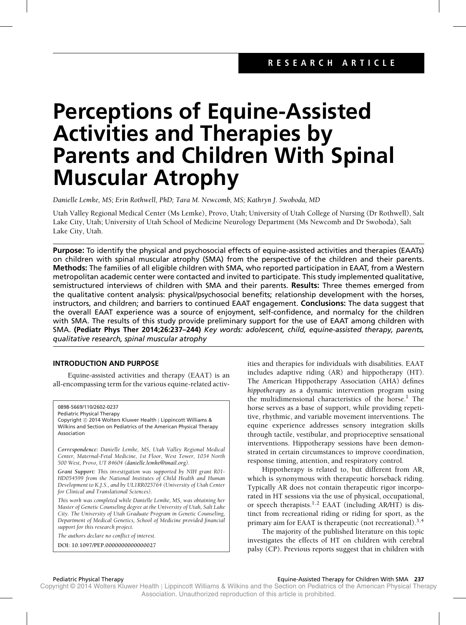# **Perceptions of Equine-Assisted Activities and Therapies by Parents and Children With Spinal Muscular Atrophy**

*Danielle Lemke, MS; Erin Rothwell, PhD; Tara M. Newcomb, MS; Kathryn J. Swoboda, MD*

Utah Valley Regional Medical Center (Ms Lemke), Provo, Utah; University of Utah College of Nursing (Dr Rothwell), Salt Lake City, Utah; University of Utah School of Medicine Neurology Department (Ms Newcomb and Dr Swoboda), Salt Lake City, Utah.

**Purpose:** To identify the physical and psychosocial effects of equine-assisted activities and therapies (EAATs) on children with spinal muscular atrophy (SMA) from the perspective of the children and their parents. **Methods:** The families of all eligible children with SMA, who reported participation in EAAT, from a Western metropolitan academic center were contacted and invited to participate. This study implemented qualitative, semistructured interviews of children with SMA and their parents. **Results:** Three themes emerged from the qualitative content analysis: physical/psychosocial benefits; relationship development with the horses, instructors, and children; and barriers to continued EAAT engagement. **Conclusions:** The data suggest that the overall EAAT experience was a source of enjoyment, self-confidence, and normalcy for the children with SMA. The results of this study provide preliminary support for the use of EAAT among children with SMA. **(Pediatr Phys Ther 2014;26:237–244)** *Key words: adolescent, child, equine-assisted therapy, parents, qualitative research, spinal muscular atrophy*

# **INTRODUCTION AND PURPOSE**

Equine-assisted activities and therapy (EAAT) is an all-encompassing term for the various equine-related activ-

0898-5669/110/2602-0237

Pediatric Physical Therapy

Copyright © 2014 Wolters Kluwer Health | Lippincott Williams & Wilkins and Section on Pediatrics of the American Physical Therapy Association

*Correspondence: Danielle Lemke, MS, Utah Valley Regional Medical Center, Maternal-Fetal Medicine, 1st Floor, West Tower, 1034 North 500 West, Provo, UT 84604 [\(danielle.lemke@imail.org\)](mailto:danielle.lemke@imail.org).*

*Grant Support: This investigation was supported by NIH grant R01- HD054599 from the National Institutes of Child Health and Human Development to K.J.S., and by UL1RR025764 (University of Utah Center for Clinical and Translational Sciences).*

*This work was completed while Danielle Lemke, MS, was obtaining her Master of Genetic Counseling degree at the University of Utah, Salt Lake City. The University of Utah Graduate Program in Genetic Counseling, Department of Medical Genetics, School of Medicine provided financial support for this research project.*

*The authors declare no conflict of interest.*

**DOI: 10.1097/PEP.0000000000000027**

ities and therapies for individuals with disabilities. EAAT includes adaptive riding (AR) and hippotherapy (HT). The American Hippotherapy Association (AHA) defines *hippotherapy* as a dynamic intervention program using the multidimensional characteristics of the horse.<sup>1</sup> The horse serves as a base of support, while providing repetitive, rhythmic, and variable movement interventions. The equine experience addresses sensory integration skills through tactile, vestibular, and proprioceptive sensational interventions. Hippotherapy sessions have been demonstrated in certain circumstances to improve coordination, response timing, attention, and respiratory control.

Hippotherapy is related to, but different from AR, which is synonymous with therapeutic horseback riding. Typically AR does not contain therapeutic rigor incorporated in HT sessions via the use of physical, occupational, or speech therapists.<sup>1,2</sup> EAAT (including AR/HT) is distinct from recreational riding or riding for sport, as the primary aim for EAAT is therapeutic (not recreational).<sup>3,4</sup>

The majority of the published literature on this topic investigates the effects of HT on children with cerebral palsy (CP). Previous reports suggest that in children with

#### Pediatric Physical Therapy Equine-Assisted Therapy for Children With SMA **237**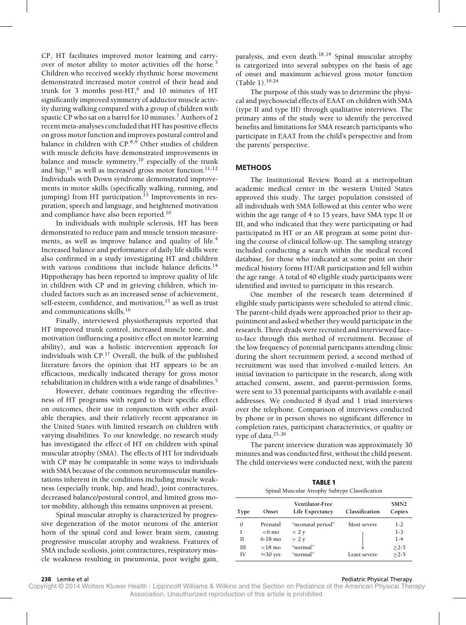CP, HT facilitates improved motor learning and carryover of motor ability to motor activities off the horse.<sup>5</sup> Children who received weekly rhythmic horse movement demonstrated increased motor control of their head and trunk for 3 months post-HT $,6$  and 10 minutes of HT significantly improved symmetry of adductor muscle activity during walking compared with a group of children with spastic CP who sat on a barrel for 10 minutes.<sup>7</sup> Authors of 2 recent meta-analyses concluded that HT has positive effects on gross motor function and improves postural control and balance in children with  $CP^{8,9}$  Other studies of children with muscle deficits have demonstrated improvements in balance and muscle symmetry,<sup>10</sup> especially of the trunk and hip, $^{11}$  as well as increased gross motor function. $^{11,12}$ Individuals with Down syndrome demonstrated improvements in motor skills (specifically walking, running, and jumping) from HT participation.<sup>13</sup> Improvements in respiration, speech and language, and heightened motivation and compliance have also been reported.<sup>10</sup>

In individuals with multiple sclerosis, HT has been demonstrated to reduce pain and muscle tension measurements, as well as improve balance and quality of life.<sup>4</sup> Increased balance and performance of daily life skills were also confirmed in a study investigating HT and children with various conditions that include balance deficits.<sup>14</sup> Hippotherapy has been reported to improve quality of life in children with CP and in grieving children, which included factors such as an increased sense of achievement, self-esteem, confidence, and motivation,<sup>15</sup> as well as trust and communications skills.<sup>16</sup>

Finally, interviewed physiotherapists reported that HT improved trunk control, increased muscle tone, and motivation (influencing a positive effect on motor learning ability), and was a holistic intervention approach for individuals with CP.<sup>17</sup> Overall, the bulk of the published literature favors the opinion that HT appears to be an efficacious, medically indicated therapy for gross motor rehabilitation in children with a wide range of disabilities.<sup>5</sup>

However, debate continues regarding the effectiveness of HT programs with regard to their specific effect on outcomes, their use in conjunction with other available therapies, and their relatively recent appearance in the United States with limited research on children with varying disabilities. To our knowledge, no research study has investigated the effect of HT on children with spinal muscular atrophy (SMA). The effects of HT for individuals with CP may be comparable in some ways to individuals with SMA because of the common neuromuscular manifestations inherent in the conditions including muscle weakness (especially trunk, hip, and head), joint contractures, decreased balance/postural control, and limited gross motor mobility, although this remains unproven at present.

Spinal muscular atrophy is characterized by progressive degeneration of the motor neurons of the anterior horn of the spinal cord and lower brain stem, causing progressive muscular atrophy and weakness. Features of SMA include scoliosis, joint contractures, respiratory muscle weakness resulting in pneumonia, poor weight gain, paralysis, and even death. $18,19$  Spinal muscular atrophy is categorized into several subtypes on the basis of age of onset and maximum achieved gross motor function (Table 1).19-24

The purpose of this study was to determine the physical and psychosocial effects of EAAT on children with SMA (type II and type III) through qualitative interviews. The primary aims of the study were to identify the perceived benefits and limitations for SMA research participants who participate in EAAT from the child's perspective and from the parents' perspective.

# **METHODS**

The Institutional Review Board at a metropolitan academic medical center in the western United States approved this study. The target population consisted of all individuals with SMA followed at this center who were within the age range of 4 to 15 years, have SMA type II or III, and who indicated that they were participating or had participated in HT or an AR program at some point during the course of clinical follow-up. The sampling strategy included conducting a search within the medical record database, for those who indicated at some point on their medical history forms HT/AR participation and fell within the age range. A total of 40 eligible study participants were identified and invited to participate in this research.

One member of the research team determined if eligible study participants were scheduled to attend clinic. The parent-child dyads were approached prior to their appointment and asked whether they would participate in the research. Three dyads were recruited and interviewed faceto-face through this method of recruitment. Because of the low frequency of potential participants attending clinic during the short recruitment period, a second method of recruitment was used that involved e-mailed letters. An initial invitation to participate in the research, along with attached consent, assent, and parent-permission forms, were sent to 33 potential participants with available e-mail addresses. We conducted 8 dyad and 1 triad interviews over the telephone. Comparison of interviews conducted by phone or in person shows no significant difference in completion rates, participant characteristics, or quality or type of data.<sup>25,26</sup>

The parent interview duration was approximately 30 minutes and was conducted first, without the child present. The child interviews were conducted next, with the parent

**TABLE 1**

| Spinal Muscular Atrophy Subtype Classification |                  |                                    |                |                            |  |  |  |
|------------------------------------------------|------------------|------------------------------------|----------------|----------------------------|--|--|--|
| <b>Type</b>                                    | Onset            | Ventilator-Free<br>Life Expectancy | Classification | SMN <sub>2</sub><br>Copies |  |  |  |
| 0                                              | Prenatal         | "neonatal period"                  | Most severe    | $1-2$                      |  |  |  |
|                                                | $<$ 6 mo         | < 2y                               |                | $1-3$                      |  |  |  |
| Н                                              | $6-18$ mo        | > 2y                               |                | $1-4$                      |  |  |  |
| Ш                                              | $>18$ mo         | "normal"                           |                | $\geq$ 2-5                 |  |  |  |
| IV                                             | $\approx$ 30 yrs | "normal"                           | Least severe   | $>2-5$                     |  |  |  |

#### **238** Lemke et al Pediatric Physical Therapy and Pediatric Physical Therapy and Pediatric Physical Therapy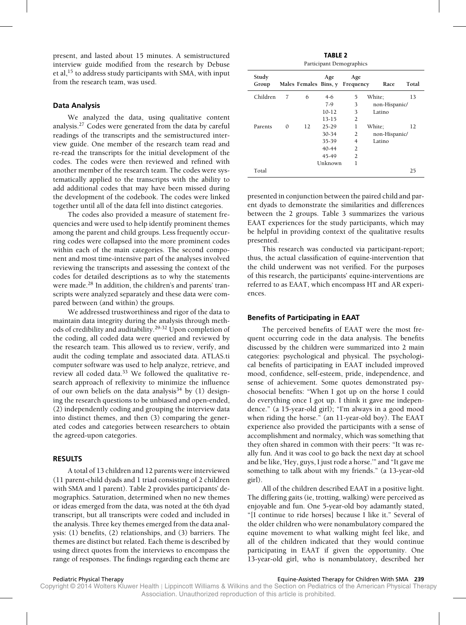present, and lasted about 15 minutes. A semistructured interview guide modified from the research by Debuse et al,<sup>15</sup> to address study participants with SMA, with input from the research team, was used.

### **Data Analysis**

We analyzed the data, using qualitative content analysis. $27$  Codes were generated from the data by careful readings of the transcripts and the semistructured interview guide. One member of the research team read and re-read the transcripts for the initial development of the codes. The codes were then reviewed and refined with another member of the research team. The codes were systematically applied to the transcripts with the ability to add additional codes that may have been missed during the development of the codebook. The codes were linked together until all of the data fell into distinct categories.

The codes also provided a measure of statement frequencies and were used to help identify prominent themes among the parent and child groups. Less frequently occurring codes were collapsed into the more prominent codes within each of the main categories. The second component and most time-intensive part of the analyses involved reviewing the transcripts and assessing the context of the codes for detailed descriptions as to why the statements were made.<sup>28</sup> In addition, the children's and parents' transcripts were analyzed separately and these data were compared between (and within) the groups.

We addressed trustworthiness and rigor of the data to maintain data integrity during the analysis through methods of credibility and auditability.<sup>29-32</sup> Upon completion of the coding, all coded data were queried and reviewed by the research team. This allowed us to review, verify, and audit the coding template and associated data. ATLAS.ti computer software was used to help analyze, retrieve, and review all coded data. $33$  We followed the qualitative research approach of reflexivity to minimize the influence of our own beliefs on the data analysis<sup>34</sup> by (1) designing the research questions to be unbiased and open-ended, (2) independently coding and grouping the interview data into distinct themes, and then (3) comparing the generated codes and categories between researchers to obtain the agreed-upon categories.

### **RESULTS**

A total of 13 children and 12 parents were interviewed (11 parent-child dyads and 1 triad consisting of 2 children with SMA and 1 parent). Table 2 provides participants' demographics. Saturation, determined when no new themes or ideas emerged from the data, was noted at the 6th dyad transcript, but all transcripts were coded and included in the analysis. Three key themes emerged from the data analysis: (1) benefits, (2) relationships, and (3) barriers. The themes are distinct but related. Each theme is described by using direct quotes from the interviews to encompass the range of responses. The findings regarding each theme are

| Participant Demographics |   |    |                              |                  |               |       |  |  |
|--------------------------|---|----|------------------------------|------------------|---------------|-------|--|--|
| Study<br>Group           |   |    | Age<br>Males Females Bins, y | Age<br>Frequency | Race          | Total |  |  |
| Children                 | 7 | 6  | $4-6$                        | 5                | White:        | 13    |  |  |
|                          |   |    | $7-9$                        | 3                | non-Hispanic/ |       |  |  |
|                          |   |    | $10-12$                      | 3                | Latino        |       |  |  |
|                          |   |    | 13-15                        | $\overline{2}$   |               |       |  |  |
| Parents                  | 0 | 12 | $25 - 29$                    | 1                | White:        | 12    |  |  |
|                          |   |    | $30 - 34$                    | 2                | non-Hispanic/ |       |  |  |
|                          |   |    | 35-39                        | 4                | Latino        |       |  |  |
|                          |   |    | $40 - 44$                    | 2                |               |       |  |  |
|                          |   |    | 45-49                        | $\overline{2}$   |               |       |  |  |
|                          |   |    | Unknown                      | 1                |               |       |  |  |
| Total                    |   |    |                              |                  |               | 25    |  |  |

**TABLE 2**

presented in conjunction between the paired child and parent dyads to demonstrate the similarities and differences between the 2 groups. Table 3 summarizes the various EAAT experiences for the study participants, which may be helpful in providing context of the qualitative results presented.

This research was conducted via participant-report; thus, the actual classification of equine-intervention that the child underwent was not verified. For the purposes of this research, the participants' equine-interventions are referred to as EAAT, which encompass HT and AR experiences.

### **Benefits of Participating in EAAT**

The perceived benefits of EAAT were the most frequent occurring code in the data analysis. The benefits discussed by the children were summarized into 2 main categories: psychological and physical. The psychological benefits of participating in EAAT included improved mood, confidence, self-esteem, pride, independence, and sense of achievement. Some quotes demonstrated psychosocial benefits: "When I got up on the horse I could do everything once I got up. I think it gave me independence." (a 15-year-old girl); "I'm always in a good mood when riding the horse." (an 11-year-old boy). The EAAT experience also provided the participants with a sense of accomplishment and normalcy, which was something that they often shared in common with their peers: "It was really fun. And it was cool to go back the next day at school and be like, 'Hey, guys, I just rode a horse.'" and "It gave me something to talk about with my friends." (a 13-year-old girl).

All of the children described EAAT in a positive light. The differing gaits (ie, trotting, walking) were perceived as enjoyable and fun. One 5-year-old boy adamantly stated, "[I continue to ride horses] because I like it." Several of the older children who were nonambulatory compared the equine movement to what walking might feel like, and all of the children indicated that they would continue participating in EAAT if given the opportunity. One 13-year-old girl, who is nonambulatory, described her

Copyright © 2014 Wolters Kluwer Health | Lippincott Williams & Wilkins and the Section on Pediatrics of the American Physical Therapy Association. Unauthorized reproduction of this article is prohibited.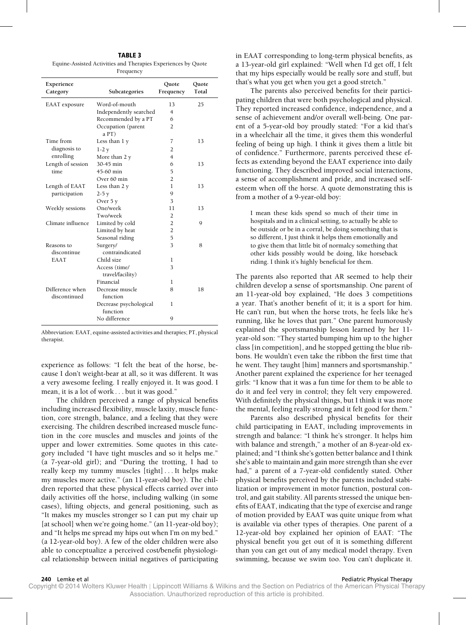| <b>TABLE 3</b>                                                |
|---------------------------------------------------------------|
| Equine-Assisted Activities and Therapies Experiences by Quote |
| Frequency                                                     |

|                           | $1.29$ acres                       |                    |                |
|---------------------------|------------------------------------|--------------------|----------------|
| Experience<br>Category    | Subcategories                      | Quote<br>Frequency | Quote<br>Total |
| EAAT exposure             | Word-of-mouth                      | 13                 | 25             |
|                           | Independently searched             | $\overline{4}$     |                |
|                           | Recommended by a PT                | 6                  |                |
|                           | Occupation (parent<br>a PT)        | 2                  |                |
| Time from                 | Less than 1 y                      | 7                  | 13             |
| diagnosis to              | $1-2y$                             | 2                  |                |
| enrolling                 | More than 2 y                      | $\overline{4}$     |                |
| Length of session         | 30-45 min                          | 6                  | 13             |
| time                      | 45-60 min                          | 5                  |                |
|                           | Over 60 min                        | $\overline{2}$     |                |
| Length of EAAT            | Less than 2 y                      | L                  | 13             |
| participation             | $2-5y$                             | $\mathbf Q$        |                |
|                           | Over 5 y                           | 3                  |                |
| Weekly sessions           | One/week                           | 11                 | 13             |
|                           | Two/week                           | $\overline{2}$     |                |
| Climate influence         | Limited by cold                    | $\overline{2}$     | 9              |
|                           | Limited by heat                    | $\overline{2}$     |                |
|                           | Seasonal riding                    | 5                  |                |
| Reasons to<br>discontinue | Surgery/<br>contraindicated        | 3                  | 8              |
| EAAT                      | Child size                         | 1                  |                |
|                           | Access (time/<br>travel/facility)  | 3                  |                |
|                           | Financial                          | 1                  |                |
| Difference when           | Decrease muscle                    | 8                  | 18             |
| discontinued              | function                           |                    |                |
|                           | Decrease psychological<br>function | 1                  |                |
|                           | No difference                      | 9                  |                |

Abbreviation: EAAT, equine-assisted activities and therapies; PT, physical therapist.

experience as follows: "I felt the beat of the horse, because I don't weight-bear at all, so it was different. It was a very awesome feeling. I really enjoyed it. It was good. I mean, it is a lot of work . . . but it was good."

The children perceived a range of physical benefits including increased flexibility, muscle laxity, muscle function, core strength, balance, and a feeling that they were exercising. The children described increased muscle function in the core muscles and muscles and joints of the upper and lower extremities. Some quotes in this category included "I have tight muscles and so it helps me." (a 7-year-old girl); and "During the trotting, I had to really keep my tummy muscles [tight]. . . It helps make my muscles more active." (an 11-year-old boy). The children reported that these physical effects carried over into daily activities off the horse, including walking (in some cases), lifting objects, and general positioning, such as "It makes my muscles stronger so I can put my chair up [at school] when we're going home." (an 11-year-old boy); and "It helps me spread my hips out when I'm on my bed." (a 12-year-old boy). A few of the older children were also able to conceptualize a perceived cost/benefit physiological relationship between initial negatives of participating in EAAT corresponding to long-term physical benefits, as a 13-year-old girl explained: "Well when I'd get off, I felt that my hips especially would be really sore and stuff, but that's what you get when you get a good stretch."

The parents also perceived benefits for their participating children that were both psychological and physical. They reported increased confidence, independence, and a sense of achievement and/or overall well-being. One parent of a 5-year-old boy proudly stated: "For a kid that's in a wheelchair all the time, it gives them this wonderful feeling of being up high. I think it gives them a little bit of confidence." Furthermore, parents perceived these effects as extending beyond the EAAT experience into daily functioning. They described improved social interactions, a sense of accomplishment and pride, and increased selfesteem when off the horse. A quote demonstrating this is from a mother of a 9-year-old boy:

I mean these kids spend so much of their time in hospitals and in a clinical setting, to actually be able to be outside or be in a corral, be doing something that is so different, I just think it helps them emotionally and to give them that little bit of normalcy something that other kids possibly would be doing, like horseback riding. I think it's highly beneficial for them.

The parents also reported that AR seemed to help their children develop a sense of sportsmanship. One parent of an 11-year-old boy explained, "He does 3 competitions a year. That's another benefit of it; it is a sport for him. He can't run, but when the horse trots, he feels like he's running, like he loves that part." One parent humorously explained the sportsmanship lesson learned by her 11 year-old son: "They started bumping him up to the higher class [in competition], and he stopped getting the blue ribbons. He wouldn't even take the ribbon the first time that he went. They taught [him] manners and sportsmanship." Another parent explained the experience for her teenaged girls: "I know that it was a fun time for them to be able to do it and feel very in control; they felt very empowered. With definitely the physical things, but I think it was more the mental, feeling really strong and it felt good for them."

Parents also described physical benefits for their child participating in EAAT, including improvements in strength and balance: "I think he's stronger. It helps him with balance and strength," a mother of an 8-year-old explained; and "I think she's gotten better balance and I think she's able to maintain and gain more strength than she ever had," a parent of a 7-year-old confidently stated. Other physical benefits perceived by the parents included stabilization or improvement in motor function, postural control, and gait stability. All parents stressed the unique benefits of EAAT, indicating that the type of exercise and range of motion provided by EAAT was quite unique from what is available via other types of therapies. One parent of a 12-year-old boy explained her opinion of EAAT: "The physical benefit you get out of it is something different than you can get out of any medical model therapy. Even swimming, because we swim too. You can't duplicate it.

**240** Lemke et al Pediatric Physical Therapy and Pediatric Physical Therapy and Pediatric Physical Therapy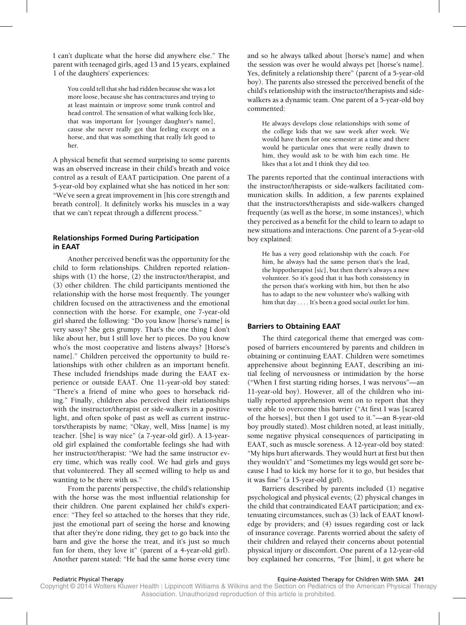I can't duplicate what the horse did anywhere else." The parent with teenaged girls, aged 13 and 15 years, explained 1 of the daughters' experiences:

You could tell that she had ridden because she was a lot more loose, because she has contractures and trying to at least maintain or improve some trunk control and head control. The sensation of what walking feels like, that was important for [younger daughter's name], cause she never really got that feeling except on a horse, and that was something that really felt good to her.

A physical benefit that seemed surprising to some parents was an observed increase in their child's breath and voice control as a result of EAAT participation. One parent of a 5-year-old boy explained what she has noticed in her son: "We've seen a great improvement in [his core strength and breath control]. It definitely works his muscles in a way that we can't repeat through a different process."

# **Relationships Formed During Participation in EAAT**

Another perceived benefit was the opportunity for the child to form relationships. Children reported relationships with (1) the horse, (2) the instructor/therapist, and (3) other children. The child participants mentioned the relationship with the horse most frequently. The younger children focused on the attractiveness and the emotional connection with the horse. For example, one 7-year-old girl shared the following: "Do you know [horse's name] is very sassy? She gets grumpy. That's the one thing I don't like about her, but I still love her to pieces. Do you know who's the most cooperative and listens always? [Horse's name]." Children perceived the opportunity to build relationships with other children as an important benefit. These included friendships made during the EAAT experience or outside EAAT. One 11-year-old boy stated: "There's a friend of mine who goes to horseback riding." Finally, children also perceived their relationships with the instructor/therapist or side-walkers in a positive light, and often spoke of past as well as current instructors/therapists by name; "Okay, well, Miss [name] is my teacher. [She] is way nice" (a 7-year-old girl). A 13-yearold girl explained the comfortable feelings she had with her instructor/therapist: "We had the same instructor every time, which was really cool. We had girls and guys that volunteered. They all seemed willing to help us and wanting to be there with us."

From the parents' perspective, the child's relationship with the horse was the most influential relationship for their children. One parent explained her child's experience: "They feel so attached to the horses that they ride, just the emotional part of seeing the horse and knowing that after they're done riding, they get to go back into the barn and give the horse the treat, and it's just so much fun for them, they love it" (parent of a 4-year-old girl). Another parent stated: "He had the same horse every time

and so he always talked about [horse's name] and when the session was over he would always pet [horse's name]. Yes, definitely a relationship there" (parent of a 5-year-old boy). The parents also stressed the perceived benefit of the child's relationship with the instructor/therapists and sidewalkers as a dynamic team. One parent of a 5-year-old boy commented:

He always develops close relationships with some of the college kids that we saw week after week. We would have them for one semester at a time and there would be particular ones that were really drawn to him, they would ask to be with him each time. He likes that a lot and I think they did too.

The parents reported that the continual interactions with the instructor/therapists or side-walkers facilitated communication skills. In addition, a few parents explained that the instructors/therapists and side-walkers changed frequently (as well as the horse, in some instances), which they perceived as a benefit for the child to learn to adapt to new situations and interactions. One parent of a 5-year-old boy explained:

He has a very good relationship with the coach. For him, he always had the same person that's the lead, the hippotherapist [*sic*], but then there's always a new volunteer. So it's good that it has both consistency in the person that's working with him, but then he also has to adapt to the new volunteer who's walking with him that day . . . . It's been a good social outlet for him.

# **Barriers to Obtaining EAAT**

The third categorical theme that emerged was composed of barriers encountered by parents and children in obtaining or continuing EAAT. Children were sometimes apprehensive about beginning EAAT, describing an initial feeling of nervousness or intimidation by the horse ("When I first starting riding horses, I was nervous"—an 11-year-old boy). However, all of the children who initially reported apprehension went on to report that they were able to overcome this barrier ("At first I was [scared of the horses], but then I got used to it."—an 8-year-old boy proudly stated). Most children noted, at least initially, some negative physical consequences of participating in EAAT, such as muscle soreness. A 12-year-old boy stated: "My hips hurt afterwards. They would hurt at first but then they wouldn't" and "Sometimes my legs would get sore because I had to kick my horse for it to go, but besides that it was fine" (a 15-year-old girl).

Barriers described by parents included (1) negative psychological and physical events; (2) physical changes in the child that contraindicated EAAT participation; and extenuating circumstances, such as (3) lack of EAAT knowledge by providers; and (4) issues regarding cost or lack of insurance coverage. Parents worried about the safety of their children and relayed their concerns about potential physical injury or discomfort. One parent of a 12-year-old boy explained her concerns, "For [him], it got where he

Copyright © 2014 Wolters Kluwer Health | Lippincott Williams & Wilkins and the Section on Pediatrics of the American Physical Therapy Association. Unauthorized reproduction of this article is prohibited.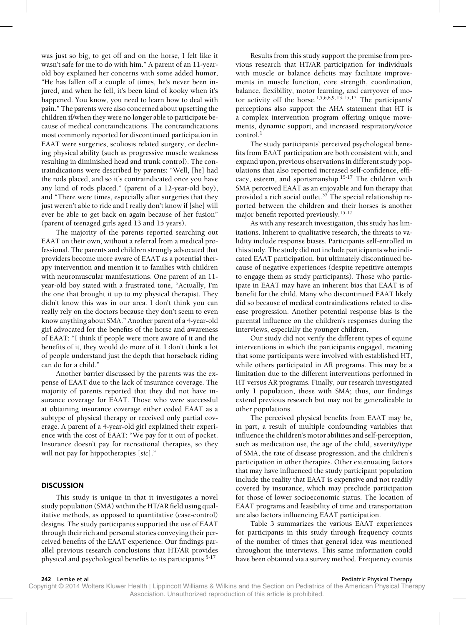was just so big, to get off and on the horse, I felt like it wasn't safe for me to do with him." A parent of an 11-yearold boy explained her concerns with some added humor, "He has fallen off a couple of times, he's never been injured, and when he fell, it's been kind of kooky when it's happened. You know, you need to learn how to deal with pain." The parents were also concerned about upsetting the children if/when they were no longer able to participate because of medical contraindications. The contraindications most commonly reported for discontinued participation in EAAT were surgeries, scoliosis related surgery, or declining physical ability (such as progressive muscle weakness resulting in diminished head and trunk control). The contraindications were described by parents: "Well, [he] had the rods placed, and so it's contraindicated once you have any kind of rods placed." (parent of a 12-year-old boy), and "There were times, especially after surgeries that they just weren't able to ride and I really don't know if [she] will ever be able to get back on again because of her fusion" (parent of teenaged girls aged 13 and 15 years).

The majority of the parents reported searching out EAAT on their own, without a referral from a medical professional. The parents and children strongly advocated that providers become more aware of EAAT as a potential therapy intervention and mention it to families with children with neuromuscular manifestations. One parent of an 11 year-old boy stated with a frustrated tone, "Actually, I'm the one that brought it up to my physical therapist. They didn't know this was in our area. I don't think you can really rely on the doctors because they don't seem to even know anything about SMA." Another parent of a 4-year-old girl advocated for the benefits of the horse and awareness of EAAT: "I think if people were more aware of it and the benefits of it, they would do more of it. I don't think a lot of people understand just the depth that horseback riding can do for a child."

Another barrier discussed by the parents was the expense of EAAT due to the lack of insurance coverage. The majority of parents reported that they did not have insurance coverage for EAAT. Those who were successful at obtaining insurance coverage either coded EAAT as a subtype of physical therapy or received only partial coverage. A parent of a 4-year-old girl explained their experience with the cost of EAAT: "We pay for it out of pocket. Insurance doesn't pay for recreational therapies, so they will not pay for hippotherapies [*sic*]."

### **DISCUSSION**

This study is unique in that it investigates a novel study population (SMA) within the HT/AR field using qualitative methods, as opposed to quantitative (case-control) designs. The study participants supported the use of EAAT through their rich and personal stories conveying their perceived benefits of the EAAT experience. Our findings parallel previous research conclusions that HT/AR provides physical and psychological benefits to its participants.<sup>5-17</sup>

Results from this study support the premise from previous research that HT/AR participation for individuals with muscle or balance deficits may facilitate improvements in muscle function, core strength, coordination, balance, flexibility, motor learning, and carryover of motor activity off the horse.<sup>1,5,6,8,9,13-15,17</sup> The participants' perceptions also support the AHA statement that HT is a complex intervention program offering unique movements, dynamic support, and increased respiratory/voice  $control<sup>1</sup>$ 

The study participants' perceived psychological benefits from EAAT participation are both consistent with, and expand upon, previous observations in different study populations that also reported increased self-confidence, efficacy, esteem, and sportsmanship.15-17 The children with SMA perceived EAAT as an enjoyable and fun therapy that provided a rich social outlet.<sup>35</sup> The special relationship reported between the children and their horses is another major benefit reported previously.15-17

As with any research investigation, this study has limitations. Inherent to qualitative research, the threats to validity include response biases. Participants self-enrolled in this study. The study did not include participants who indicated EAAT participation, but ultimately discontinued because of negative experiences (despite repetitive attempts to engage them as study participants). Those who participate in EAAT may have an inherent bias that EAAT is of benefit for the child. Many who discontinued EAAT likely did so because of medical contraindications related to disease progression. Another potential response bias is the parental influence on the children's responses during the interviews, especially the younger children.

Our study did not verify the different types of equine interventions in which the participants engaged, meaning that some participants were involved with established HT, while others participated in AR programs. This may be a limitation due to the different interventions performed in HT versus AR programs. Finally, our research investigated only 1 population, those with SMA; thus, our findings extend previous research but may not be generalizable to other populations.

The perceived physical benefits from EAAT may be, in part, a result of multiple confounding variables that influence the children's motor abilities and self-perception, such as medication use, the age of the child, severity/type of SMA, the rate of disease progression, and the children's participation in other therapies. Other extenuating factors that may have influenced the study participant population include the reality that EAAT is expensive and not readily covered by insurance, which may preclude participation for those of lower socioeconomic status. The location of EAAT programs and feasibility of time and transportation are also factors influencing EAAT participation.

Table 3 summarizes the various EAAT experiences for participants in this study through frequency counts of the number of times that general idea was mentioned throughout the interviews. This same information could have been obtained via a survey method. Frequency counts

**242** Lemke et al **Pediatric Physical Therapy Pediatric Physical Therapy Pediatric Physical Therapy**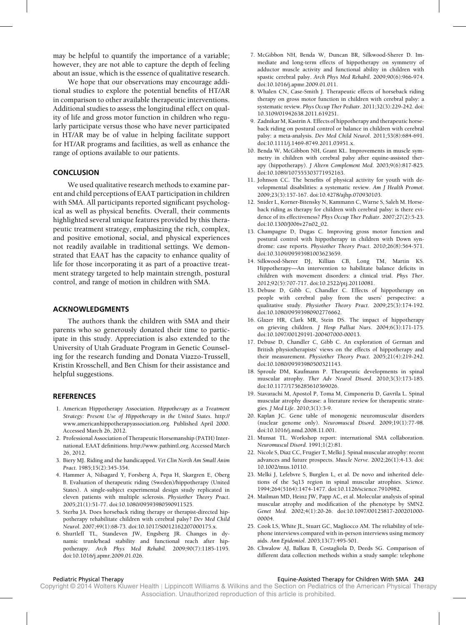may be helpful to quantify the importance of a variable; however, they are not able to capture the depth of feeling about an issue, which is the essence of qualitative research.

We hope that our observations may encourage additional studies to explore the potential benefits of HT/AR in comparison to other available therapeutic interventions. Additional studies to assess the longitudinal effect on quality of life and gross motor function in children who regularly participate versus those who have never participated in HT/AR may be of value in helping facilitate support for HT/AR programs and facilities, as well as enhance the range of options available to our patients.

## **CONCLUSION**

We used qualitative research methods to examine parent and child perceptions of EAAT participation in children with SMA. All participants reported significant psychological as well as physical benefits. Overall, their comments highlighted several unique features provided by this therapeutic treatment strategy, emphasizing the rich, complex, and positive emotional, social, and physical experiences not readily available in traditional settings. We demonstrated that EAAT has the capacity to enhance quality of life for those incorporating it as part of a proactive treatment strategy targeted to help maintain strength, postural control, and range of motion in children with SMA.

### **ACKNOWLEDGMENTS**

The authors thank the children with SMA and their parents who so generously donated their time to participate in this study. Appreciation is also extended to the University of Utah Graduate Program in Genetic Counseling for the research funding and Donata Viazzo-Trussell, Kristin Krosschell, and Ben Chism for their assistance and helpful suggestions.

#### **REFERENCES**

- 1. American Hippotherapy Association. *Hippotherapy as a Treatment Strategy: Present Use of Hippotherapy in the United States*. [http://](http://www.americanhippotherapyassociation.org) [www.americanhippotherapyassociation.org.](http://www.americanhippotherapyassociation.org) Published April 2000. Accessed March 26, 2012.
- 2. Professional Association of Therapeutic Horsemanship (PATH) International. EAAT definitions. [http://www.pathintl.org.](http://www.pathintl.org) Accessed March 26, 2012.
- 3. Biery MJ. Riding and the handicapped. *Vet Clin North Am Small Anim Pract*. 1985;15(2):345-354.
- 4. Hammer A, Nilsagard Y, Forsberg A, Pepa H, Skargren E, Oberg B. Evaluation of therapeutic riding (Sweden)/hippotherapy (United States). A single-subject experimental design study replicated in eleven patients with multiple sclerosis. *Physiother Theory Pract*. 2005;21(1):51-77. doi:10.1080/09593980590911525.
- 5. Sterba JA. Does horseback riding therapy or therapist-directed hippotherapy rehabilitate children with cerebral palsy? *Dev Med Child Neurol*. 2007;49(1):68-73. doi:10.1017/S0012162207000175.x.
- 6. Shurtleff TL, Standeven JW, Engsberg JR. Changes in dynamic trunk/head stability and functional reach after hippotherapy. *Arch Phys Med Rehabil*. 2009;90(7):1185-1195. doi:10.1016/j.apmr.2009.01.026.
- 7. McGibbon NH, Benda W, Duncan BR, Silkwood-Sherer D. Immediate and long-term effects of hippotherapy on symmetry of adductor muscle activity and functional ability in children with spastic cerebral palsy. *Arch Phys Med Rehabil*. 2009;90(6):966-974. doi:10.1016/j.apmr.2009.01.011.
- 8. Whalen CN, Case-Smith J. Therapeutic effects of horseback riding therapy on gross motor function in children with cerebral palsy: a systematic review. *Phys Occup Ther Pediatr*. 2011;32(3):229-242. doi: 10.3109/01942638.2011.619251.
- 9. Zadnikar M, Kastrin A. Effects of hippotherapy and therapeutic horseback riding on postural control or balance in children with cerebral palsy: a meta-analysis. *Dev Med Child Neurol*. 2011;53(8):684-691. doi:10.1111/j.1469-8749.2011.03951.x.
- 10. Benda W, McGibbon NH, Grant KL. Improvements in muscle symmetry in children with cerebral palsy after equine-assisted therapy (hippotherapy). *J Altern Complement Med*. 2003;9(6):817-825. doi:10.1089/107555303771952163.
- 11. Johnson CC. The benefits of physical activity for youth with developmental disabilities: a systematic review. *Am J Health Promot*. 2009;23(3):157-167. doi:10.4278/ajhp.070930103.
- 12. Snider L, Korner-Bitensky N, Kammann C, Warne S, Saleh M. Horseback riding as therapy for children with cerebral palsy: is there evidence of its effectiveness? *Phys Occup Ther Pediatr*. 2007;27(2):5-23. doi:10.1300/J006v27n02\_02.
- 13. Champagne D, Dugas C. Improving gross motor function and postural control with hippotherapy in children with Down syndrome: case reports. *Physiother Theory Pract*. 2010;26(8):564-571. doi:10.3109/09593981003623659.
- 14. Silkwood-Sherer DJ, Killian CB, Long TM, Martin KS. Hippotherapy—An intervention to habilitate balance deficits in children with movement disorders: a clinical trial. *Phys Ther*. 2012;92(5):707-717. doi:10.2522/ptj.20110081.
- 15. Debuse D, Gibb C, Chandler C. Effects of hippotherapy on people with cerebral palsy from the users' perspective: a qualitative study. *Physiother Theory Pract*. 2009;25(3):174-192. doi:10.1080/09593980902776662.
- 16. Glazer HR, Clark MR, Stein DS. The impact of hippotherapy on grieving children. *J Hosp Palliat Nurs*. 2004;6(3):171-175. doi:10.1097/00129191-200407000-00013.
- 17. Debuse D, Chandler C, Gibb C. An exploration of German and British physiotherapists' views on the effects of hippotherapy and their measurement. *Physiother Theory Pract*. 2005;21(4):219-242. doi:10.1080/09593980500321143.
- 18. Sproule DM, Kaufmann P. Therapeutic developments in spinal muscular atrophy. *Ther Adv Neurol Disord*. 2010;3(3):173-185. doi:10.1177/1756285610369026.
- 19. Stavarachi M, Apostol P, Toma M, Cimponeriu D, Gavrila L. Spinal muscular atrophy disease: a literature review for therapeutic strategies. *J Med Life*. 2010;3(1):3-9.
- 20. Kaplan JC. Gene table of monogenic neuromuscular disorders (nuclear genome only). *Neuromuscul Disord*. 2009;19(1):77-98. doi:10.1016/j.nmd.2008.11.001.
- 21. Munsat TL. Workshop report: international SMA collaboration. *Neuromuscul Disord*. 1991;1(2):81.
- 22. Nicole S, Diaz CC, Frugier T, Melki J. Spinal muscular atrophy: recent advances and future prospects. *Muscle Nerve*. 2002;26(1):4-13. doi: 10.1002/mus.10110.
- 23. Melki J, Lefebvre S, Burglen L, et al. De novo and inherited deletions of the 5q13 region in spinal muscular atrophies. *Science*. 1994;264(5164):1474-1477. doi:10.1126/science.7910982.
- 24. Mailman MD, Heinz JW, Papp AC, et al. Molecular analysis of spinal muscular atrophy and modification of the phenotype by SMN2. *Genet Med*. 2002;4(1):20-26. doi:10.1097/00125817-200201000- 00004.
- 25. Cook LS, White JL, Stuart GC, Magliocco AM. The reliability of telephone interviews compared with in-person interviews using memory aids. *Ann Epidemiol.* 2003;13(7):495-501.
- 26. Chwalow AJ, Balkau B, Costagliola D, Deeds SG. Comparison of different data collection methods within a study sample: telephone

#### Pediatric Physical Therapy Equine-Assisted Therapy for Children With SMA **243**